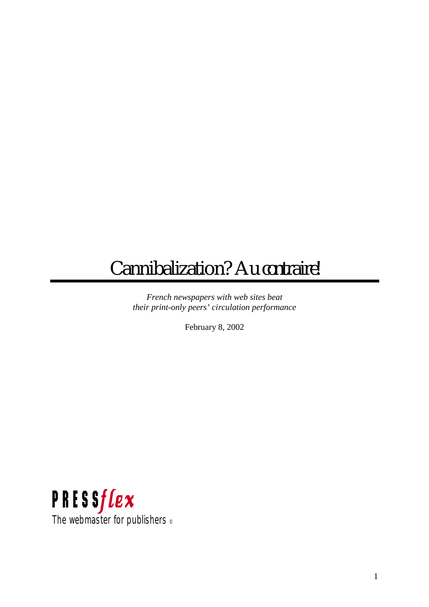# Cannibalization? *Au contraire!*

*French newspapers with web sites beat their print-only peers' circulation performance* 

February 8, 2002

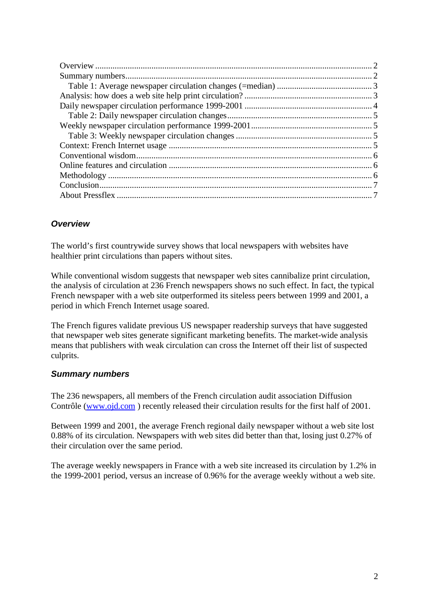# **Overview**

The world's first countrywide survey shows that local newspapers with websites have healthier print circulations than papers without sites.

While conventional wisdom suggests that newspaper web sites cannibalize print circulation, the analysis of circulation at 236 French newspapers shows no such effect. In fact, the typical French newspaper with a web site outperformed its siteless peers between 1999 and 2001, a period in which French Internet usage soared.

The French figures validate previous US newspaper readership surveys that have suggested that newspaper web sites generate significant marketing benefits. The market-wide analysis means that publishers with weak circulation can cross the Internet off their list of suspected culprits.

## **Summary numbers**

The 236 newspapers, all members of the French circulation audit association Diffusion Contrôle ([www.ojd.com](http://www.ojd.com/) ) recently released their circulation results for the first half of 2001.

Between 1999 and 2001, the average French regional daily newspaper without a web site lost 0.88% of its circulation. Newspapers with web sites did better than that, losing just 0.27% of their circulation over the same period.

The average weekly newspapers in France with a web site increased its circulation by 1.2% in the 1999-2001 period, versus an increase of 0.96% for the average weekly without a web site.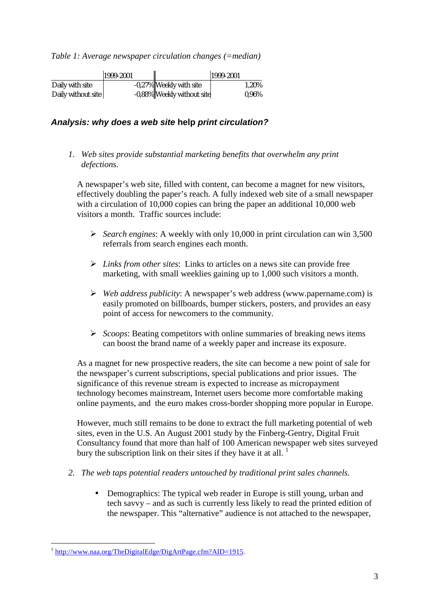<span id="page-2-0"></span>*Table 1: Average newspaper circulation changes (=median)* 

|                    | 1999-2001 |                            | 1999-2001 |
|--------------------|-----------|----------------------------|-----------|
| Daily with site    |           | -0,27% Weekly with site    | 1.20%     |
| Daily without site |           | -0,88% Weekly without site | $0.96\%$  |

## **Analysis: why does a web site help print circulation?**

*1. Web sites provide substantial marketing benefits that overwhelm any print defections.* 

A newspaper's web site, filled with content, can become a magnet for new visitors, effectively doubling the paper's reach. A fully indexed web site of a small newspaper with a circulation of 10,000 copies can bring the paper an additional 10,000 web visitors a month. Traffic sources include:

- ! *Search engines*: A weekly with only 10,000 in print circulation can win 3,500 referrals from search engines each month.
- ! *Links from other sites*: Links to articles on a news site can provide free marketing, with small weeklies gaining up to 1,000 such visitors a month.
- ! *Web address publicity*: A newspaper's web address (www.papername.com) is easily promoted on billboards, bumper stickers, posters, and provides an easy point of access for newcomers to the community.
- ! *Scoops*: Beating competitors with online summaries of breaking news items can boost the brand name of a weekly paper and increase its exposure.

As a magnet for new prospective readers, the site can become a new point of sale for the newspaper's current subscriptions, special publications and prior issues. The significance of this revenue stream is expected to increase as micropayment technology becomes mainstream, Internet users become more comfortable making online payments, and the euro makes cross-border shopping more popular in Europe.

However, much still remains to be done to extract the full marketing potential of web sites, even in the U.S. An August 2001 study by the Finberg-Gentry, Digital Fruit Consultancy found that more than half of 100 American newspaper web sites surveyed bury the subscription link on their sites if they have it at all.  $<sup>1</sup>$ </sup>

- *2. The web taps potential readers untouched by traditional print sales channels.* 
	- Demographics: The typical web reader in Europe is still young, urban and tech savvy – and as such is currently less likely to read the printed edition of the newspaper. This "alternative" audience is not attached to the newspaper,

 $\overline{a}$ 

<sup>&</sup>lt;sup>1</sup> http://www.naa.org/TheDigitalEdge/DigArtPage.cfm?AID=1915.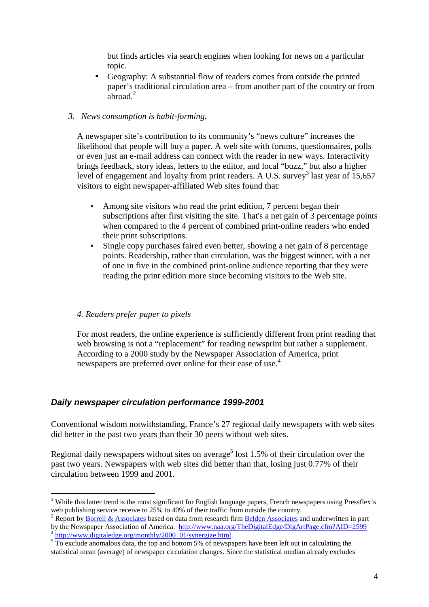<span id="page-3-0"></span>but finds articles via search engines when looking for news on a particular topic.

• Geography: A substantial flow of readers comes from outside the printed paper's traditional circulation area – from another part of the country or from abroad.<sup>2</sup>

#### *3. News consumption is habit-forming.*

A newspaper site's contribution to its community's "news culture" increases the likelihood that people will buy a paper. A web site with forums, questionnaires, polls or even just an e-mail address can connect with the reader in new ways. Interactivity brings feedback, story ideas, letters to the editor, and local "buzz," but also a higher level of engagement and loyalty from print readers. A U.S. survey<sup>3</sup> last year of  $15,657$ visitors to eight newspaper-affiliated Web sites found that:

- Among site visitors who read the print edition, 7 percent began their subscriptions after first visiting the site. That's a net gain of 3 percentage points when compared to the 4 percent of combined print-online readers who ended their print subscriptions.
- Single copy purchases faired even better, showing a net gain of 8 percentage points. Readership, rather than circulation, was the biggest winner, with a net of one in five in the combined print-online audience reporting that they were reading the print edition more since becoming visitors to the Web site.

#### *4. Readers prefer paper to pixels*

For most readers, the online experience is sufficiently different from print reading that web browsing is not a "replacement" for reading newsprint but rather a supplement. According to a 2000 study by the Newspaper Association of America, print newspapers are preferred over online for their ease of use.<sup>4</sup>

## **Daily newspaper circulation performance 1999-2001**

Conventional wisdom notwithstanding, France's 27 regional daily newspapers with web sites did better in the past two years than their 30 peers without web sites.

Regional daily newspapers without sites on average<sup>5</sup> lost 1.5% of their circulation over the past two years. Newspapers with web sites did better than that, losing just 0.77% of their circulation between 1999 and 2001.

<sup>&</sup>lt;sup>2</sup> While this latter trend is the most significant for English language papers, French newspapers using Pressflex's web publishing service receive to 25% to 40% of their traffic from outside the country.

<sup>&</sup>lt;sup>3</sup> Report by **Borrell & Associates** based on data from research firm **Belden Associates** and underwritten in part by the Newspaper Association of America. http://www.naa.org/TheDigitalEdge/DigArtPage.cfm?AID=2599 4 http://www.digitaledge.org/monthly/2000\_01/synergize.html.

 $\frac{1}{100}$  To exclude anomalous data, the top and bottom 5% of newspapers have been left out in calculating the statistical mean (average) of newspaper circulation changes. Since the statistical median already excludes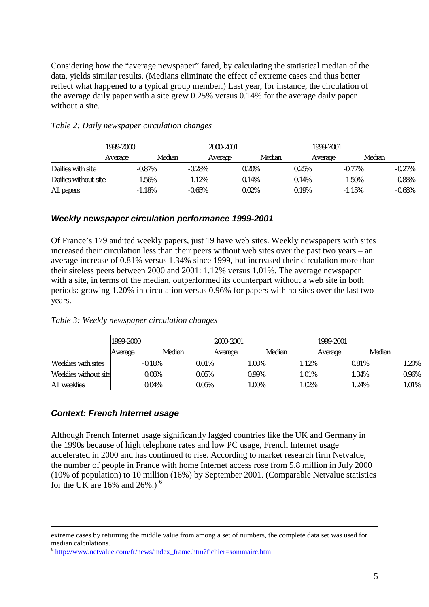<span id="page-4-0"></span>Considering how the "average newspaper" fared, by calculating the statistical median of the data, yields similar results. (Medians eliminate the effect of extreme cases and thus better reflect what happened to a typical group member.) Last year, for instance, the circulation of the average daily paper with a site grew 0.25% versus 0.14% for the average daily paper without a site.

|                      | 1999-2000 |           | 2000-2001 |          |        | 1999-2001 |           |           |
|----------------------|-----------|-----------|-----------|----------|--------|-----------|-----------|-----------|
|                      | Average   | Median    | Average   |          | Median | Average   | Median    |           |
| Dailies with site    |           | $-0.87\%$ | $-0.28\%$ | $0.20\%$ |        | 0.25%     | $-0.77\%$ | $-0.27\%$ |
| Dailies without site |           | $-1.56\%$ | $-1.12%$  | $-0.14%$ |        | 0.14%     | $-1.50\%$ | -0.88%    |
| All papers           |           | $-1.18%$  | $-0.65\%$ | $0.02\%$ |        | 0.19%     | $-1.15%$  | -0.68%    |

#### *Table 2: Daily newspaper circulation changes*

#### **Weekly newspaper circulation performance 1999-2001**

Of France's 179 audited weekly papers, just 19 have web sites. Weekly newspapers with sites increased their circulation less than their peers without web sites over the past two years – an average increase of 0.81% versus 1.34% since 1999, but increased their circulation more than their siteless peers between 2000 and 2001: 1.12% versus 1.01%. The average newspaper with a site, in terms of the median, outperformed its counterpart without a web site in both periods: growing 1.20% in circulation versus 0.96% for papers with no sites over the last two years.

#### *Table 3: Weekly newspaper circulation changes*

|                       | 1999-2000 |          | 2000-2001 |        | 1999-2001 |          |          |
|-----------------------|-----------|----------|-----------|--------|-----------|----------|----------|
|                       | Average   | Median   | Average   | Median | Average   | Median   |          |
| Weeklies with sites   |           | $-0.18%$ | $0.01\%$  | l.08%  | 1.12%     | $0.81\%$ | 1.20%    |
| Weeklies without site |           | $0.06\%$ | $0.05\%$  | 0.99%  | $.01\%$   | 1.34%    | $0.96\%$ |
| All weeklies          |           | 0.04%    | $0.05\%$  | l.00%  | $0.02\%$  | 1.24%    | 1.01%    |

#### **Context: French Internet usage**

<u>.</u>

Although French Internet usage significantly lagged countries like the UK and Germany in the 1990s because of high telephone rates and low PC usage, French Internet usage accelerated in 2000 and has continued to rise. According to market research firm Netvalue, the number of people in France with home Internet access rose from 5.8 million in July 2000 (10% of population) to 10 million (16%) by September 2001. (Comparable Netvalue statistics for the UK are 16% and 26%.)  $<sup>6</sup>$ </sup>

extreme cases by returning the middle value from among a set of numbers, the complete data set was used for median calculations.

 $6$  http://www.netvalue.com/fr/news/index frame.htm?fichier=sommaire.htm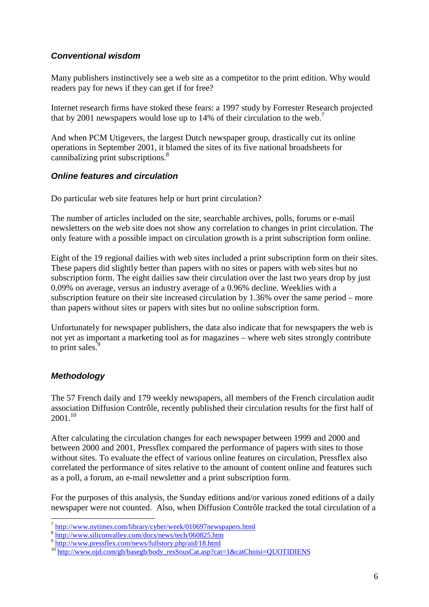## <span id="page-5-0"></span>**Conventional wisdom**

Many publishers instinctively see a web site as a competitor to the print edition. Why would readers pay for news if they can get if for free?

Internet research firms have stoked these fears: a 1997 study by Forrester Research projected that by 2001 newspapers would lose up to 14% of their circulation to the web.<sup>7</sup>

And when PCM Utigevers, the largest Dutch newspaper group, drastically cut its online operations in September 2001, it blamed the sites of its five national broadsheets for cannibalizing print subscriptions.<sup>8</sup>

## **Online features and circulation**

Do particular web site features help or hurt print circulation?

The number of articles included on the site, searchable archives, polls, forums or e-mail newsletters on the web site does not show any correlation to changes in print circulation. The only feature with a possible impact on circulation growth is a print subscription form online.

Eight of the 19 regional dailies with web sites included a print subscription form on their sites. These papers did slightly better than papers with no sites or papers with web sites but no subscription form. The eight dailies saw their circulation over the last two years drop by just 0.09% on average, versus an industry average of a 0.96% decline. Weeklies with a subscription feature on their site increased circulation by 1.36% over the same period – more than papers without sites or papers with sites but no online subscription form.

Unfortunately for newspaper publishers, the data also indicate that for newspapers the web is not yet as important a marketing tool as for magazines – where web sites strongly contribute to print sales.<sup>9</sup>

## **Methodology**

 $\overline{a}$ 

The 57 French daily and 179 weekly newspapers, all members of the French circulation audit association Diffusion Contrôle, recently published their circulation results for the first half of  $2001.<sup>10</sup>$ 

After calculating the circulation changes for each newspaper between 1999 and 2000 and between 2000 and 2001, Pressflex compared the performance of papers with sites to those without sites. To evaluate the effect of various online features on circulation, Pressflex also correlated the performance of sites relative to the amount of content online and features such as a poll, a forum, an e-mail newsletter and a print subscription form.

For the purposes of this analysis, the Sunday editions and/or various zoned editions of a daily newspaper were not counted. Also, when Diffusion Contrôle tracked the total circulation of a

<sup>&</sup>lt;sup>7</sup> http://www.nytimes.com/library/cyber/week/010697newspapers.html

<sup>8</sup> http://www.siliconvalley.com/docs/news/tech/060825.htm

<sup>9</sup> http://www.pressflex.com/news/fullstory.php/aid/18.html

<sup>10</sup> http://www.ojd.com/gb/basegb/body\_resSousCat.asp?cat=1&catChoisi=QUOTIDIENS